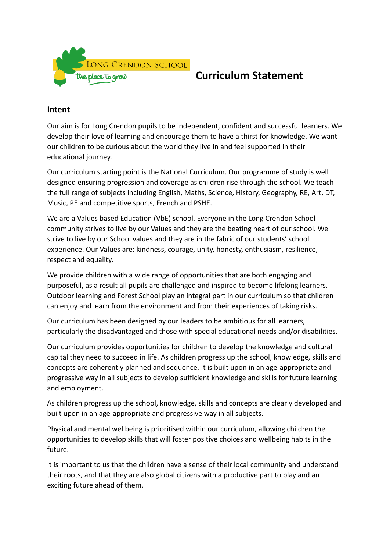

## **Curriculum Statement**

## **Intent**

Our aim is for Long Crendon pupils to be independent, confident and successful learners. We develop their love of learning and encourage them to have a thirst for knowledge. We want our children to be curious about the world they live in and feel supported in their educational journey.

Our curriculum starting point is the National Curriculum. Our programme of study is well designed ensuring progression and coverage as children rise through the school. We teach the full range of subjects including English, Maths, Science, History, Geography, RE, Art, DT, Music, PE and competitive sports, French and PSHE.

We are a Values based Education (VbE) school. Everyone in the Long Crendon School community strives to live by our Values and they are the beating heart of our school. We strive to live by our School values and they are in the fabric of our students' school experience. Our Values are: kindness, courage, unity, honesty, enthusiasm, resilience, respect and equality.

We provide children with a wide range of opportunities that are both engaging and purposeful, as a result all pupils are challenged and inspired to become lifelong learners. Outdoor learning and Forest School play an integral part in our curriculum so that children can enjoy and learn from the environment and from their experiences of taking risks.

Our curriculum has been designed by our leaders to be ambitious for all learners, particularly the disadvantaged and those with special educational needs and/or disabilities.

Our curriculum provides opportunities for children to develop the knowledge and cultural capital they need to succeed in life. As children progress up the school, knowledge, skills and concepts are coherently planned and sequence. It is built upon in an age-appropriate and progressive way in all subjects to develop sufficient knowledge and skills for future learning and employment.

As children progress up the school, knowledge, skills and concepts are clearly developed and built upon in an age-appropriate and progressive way in all subjects.

Physical and mental wellbeing is prioritised within our curriculum, allowing children the opportunities to develop skills that will foster positive choices and wellbeing habits in the future.

It is important to us that the children have a sense of their local community and understand their roots, and that they are also global citizens with a productive part to play and an exciting future ahead of them.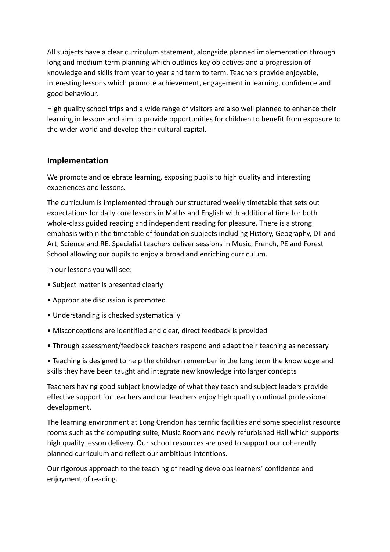All subjects have a clear curriculum statement, alongside planned implementation through long and medium term planning which outlines key objectives and a progression of knowledge and skills from year to year and term to term. Teachers provide enjoyable, interesting lessons which promote achievement, engagement in learning, confidence and good behaviour.

High quality school trips and a wide range of visitors are also well planned to enhance their learning in lessons and aim to provide opportunities for children to benefit from exposure to the wider world and develop their cultural capital.

## **Implementation**

We promote and celebrate learning, exposing pupils to high quality and interesting experiences and lessons.

The curriculum is implemented through our structured weekly timetable that sets out expectations for daily core lessons in Maths and English with additional time for both whole-class guided reading and independent reading for pleasure. There is a strong emphasis within the timetable of foundation subjects including History, Geography, DT and Art, Science and RE. Specialist teachers deliver sessions in Music, French, PE and Forest School allowing our pupils to enjoy a broad and enriching curriculum.

In our lessons you will see:

- Subject matter is presented clearly
- Appropriate discussion is promoted
- Understanding is checked systematically
- Misconceptions are identified and clear, direct feedback is provided
- Through assessment/feedback teachers respond and adapt their teaching as necessary

• Teaching is designed to help the children remember in the long term the knowledge and skills they have been taught and integrate new knowledge into larger concepts

Teachers having good subject knowledge of what they teach and subject leaders provide effective support for teachers and our teachers enjoy high quality continual professional development.

The learning environment at Long Crendon has terrific facilities and some specialist resource rooms such as the computing suite, Music Room and newly refurbished Hall which supports high quality lesson delivery. Our school resources are used to support our coherently planned curriculum and reflect our ambitious intentions.

Our rigorous approach to the teaching of reading develops learners' confidence and enjoyment of reading.